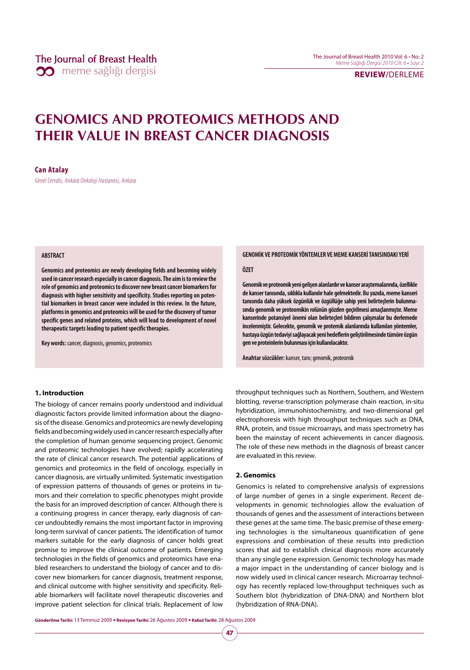## **REVIEW/**DERLEME

# **GENOMICS AND PROTEOMICS METHODS AND THEIR VALUE IN BREAST CANCER DIAGNOSIS**

### **Can Atalay**

Genel Cerrahi, Ankara Onkoloji Hastanesi, Ankara

### **ABSTRACT**

**Genomics and proteomics are newly developing fields and becoming widely used in cancer research especially in cancer diagnosis. The aim is to review the role of genomics and proteomics to discover new breast cancer biomarkers for diagnosis with higher sensitivity and specificity. Studies reporting on potential biomarkers in breast cancer were included in this review. In the future, platforms in genomics and proteomics will be used for the discovery of tumor specific genes and related proteins, which will lead to development of novel therapeutic targets leading to patient specific therapies.**

**Key words:** cancer, diagnosis, genomics, proteomics

### **1. Introduction**

The biology of cancer remains poorly understood and individual diagnostic factors provide limited information about the diagnosis of the disease. Genomics and proteomics are newly developing fields and becoming widely used in cancer research especially after the completion of human genome sequencing project. Genomic and proteomic technologies have evolved; rapidly accelerating the rate of clinical cancer research. The potential applications of genomics and proteomics in the field of oncology, especially in cancer diagnosis, are virtually unlimited. Systematic investigation of expression patterns of thousands of genes or proteins in tumors and their correlation to specific phenotypes might provide the basis for an improved description of cancer. Although there is a continuing progress in cancer therapy, early diagnosis of cancer undoubtedly remains the most important factor in improving long-term survival of cancer patients. The identification of tumor markers suitable for the early diagnosis of cancer holds great promise to improve the clinical outcome of patients. Emerging technologies in the fields of genomics and proteomics have enabled researchers to understand the biology of cancer and to discover new biomarkers for cancer diagnosis, treatment response, and clinical outcome with higher sensitivity and specificity. Reliable biomarkers will facilitate novel therapeutic discoveries and improve patient selection for clinical trials. Replacement of low

#### **GENOMİK VE PROTEOMİK YÖNTEMLER VE MEME KANSERİ TANISINDAKI YERİ**

#### **ÖZET**

**Genomik ve proteomik yeni gelişen alanlardır ve kanser araştırmalarında, özellikle de kanser tanısında, sıklıkla kullanılır hale gelmektedir. Bu yazıda, meme kanseri tanısında daha yüksek özgünlük ve özgüllüğe sahip yeni belirteçlerin bulunmasında genomik ve proteomikin rolünün gözden geçirilmesi amaçlanmıştır. Meme kanserinde potansiyel önemi olan belirteçleri bildiren çalışmalar bu derlemede incelenmiştir. Gelecekte, genomik ve protemik alanlarında kullanılan yöntemler, hastaya özgün tedaviyi sağlayacak yeni hedeflerin geliştirilmesinde tümöre özgün gen ve proteinlerin bulunması için kullanılacaktır.**

**Anahtar sözcükler:** kanser, tanı; genomik, proteomik

throughput techniques such as Northern, Southern, and Western blotting, reverse-transcription polymerase chain reaction, in-situ hybridization, immunohistochemistry, and two-dimensional gel electrophoresis with high throughput techniques such as DNA, RNA, protein, and tissue microarrays, and mass spectrometry has been the mainstay of recent achievements in cancer diagnosis. The role of these new methods in the diagnosis of breast cancer are evaluated in this review.

### **2. Genomics**

**47**

Genomics is related to comprehensive analysis of expressions of large number of genes in a single experiment. Recent developments in genomic technologies allow the evaluation of thousands of genes and the assessment of interactions between these genes at the same time. The basic premise of these emerging technologies is the simultaneous quantification of gene expressions and combination of these results into prediction scores that aid to establish clinical diagnosis more accurately than any single gene expression. Genomic technology has made a major impact in the understanding of cancer biology and is now widely used in clinical cancer research. Microarray technology has recently replaced low-throughput techniques such as Southern blot (hybridization of DNA-DNA) and Northern blot (hybridization of RNA-DNA).

**Gönderilme Tarihi:** 13 Temmuz 2009 y **Revizyon Tarihi:** 26 Ağustos 2009 y **Kabul Tarihi:** 28 Ağustos 2009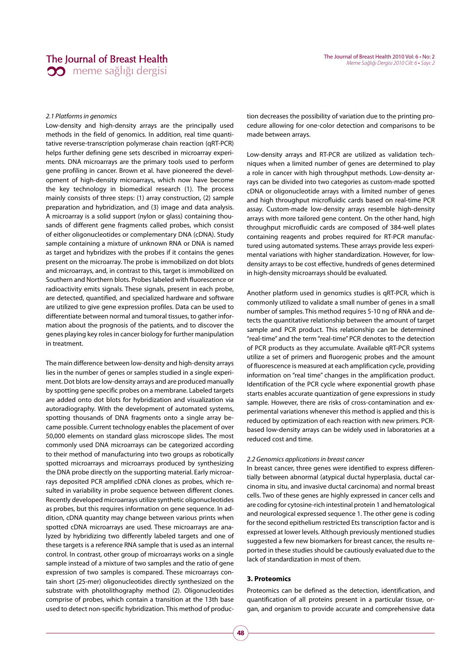#### 2.1 Platforms in genomics

Low-density and high-density arrays are the principally used methods in the field of genomics. In addition, real time quantitative reverse-transcription polymerase chain reaction (qRT-PCR) helps further defining gene sets described in microarray experiments. DNA microarrays are the primary tools used to perform gene profiling in cancer. Brown et al. have pioneered the development of high-density microarrays, which now have become the key technology in biomedical research (1). The process mainly consists of three steps: (1) array construction, (2) sample preparation and hybridization, and (3) image and data analysis. A microarray is a solid support (nylon or glass) containing thousands of different gene fragments called probes, which consist of either oligonucleotides or complementary DNA (cDNA). Study sample containing a mixture of unknown RNA or DNA is named as target and hybridizes with the probes if it contains the genes present on the microarray. The probe is immobilized on dot blots and microarrays, and, in contrast to this, target is immobilized on Southern and Northern blots. Probes labeled with fluorescence or radioactivity emits signals. These signals, present in each probe, are detected, quantified, and specialized hardware and software are utilized to give gene expression profiles. Data can be used to differentiate between normal and tumoral tissues, to gather information about the prognosis of the patients, and to discover the genes playing key roles in cancer biology for further manipulation in treatment.

The main difference between low-density and high-density arrays lies in the number of genes or samples studied in a single experiment. Dot blots are low-density arrays and are produced manually by spotting gene specific probes on a membrane. Labeled targets are added onto dot blots for hybridization and visualization via autoradiography. With the development of automated systems, spotting thousands of DNA fragments onto a single array became possible. Current technology enables the placement of over 50,000 elements on standard glass microscope slides. The most commonly used DNA microarrays can be categorized according to their method of manufacturing into two groups as robotically spotted microarrays and microarrays produced by synthesizing the DNA probe directly on the supporting material. Early microarrays deposited PCR amplified cDNA clones as probes, which resulted in variability in probe sequence between different clones. Recently developed microarrays utilize synthetic oligonucleotides as probes, but this requires information on gene sequence. In addition, cDNA quantity may change between various prints when spotted cDNA microarrays are used. These microarrays are analyzed by hybridizing two differently labeled targets and one of these targets is a reference RNA sample that is used as an internal control. In contrast, other group of microarrays works on a single sample instead of a mixture of two samples and the ratio of gene expression of two samples is compared. These microarrays contain short (25-mer) oligonucleotides directly synthesized on the substrate with photolithography method (2). Oligonucleotides comprise of probes, which contain a transition at the 13th base used to detect non-specific hybridization. This method of production decreases the possibility of variation due to the printing procedure allowing for one-color detection and comparisons to be made between arrays.

Low-density arrays and RT-PCR are utilized as validation techniques when a limited number of genes are determined to play a role in cancer with high throughput methods. Low-density arrays can be divided into two categories as custom-made spotted cDNA or oligonucleotide arrays with a limited number of genes and high throughput microfluidic cards based on real-time PCR assay. Custom-made low-density arrays resemble high-density arrays with more tailored gene content. On the other hand, high throughput microfluidic cards are composed of 384-well plates containing reagents and probes required for RT-PCR manufactured using automated systems. These arrays provide less experimental variations with higher standardization. However, for lowdensity arrays to be cost effective, hundreds of genes determined in high-density microarrays should be evaluated.

Another platform used in genomics studies is qRT-PCR, which is commonly utilized to validate a small number of genes in a small number of samples. This method requires 5-10 ng of RNA and detects the quantitative relationship between the amount of target sample and PCR product. This relationship can be determined "real-time" and the term "real-time" PCR denotes to the detection of PCR products as they accumulate. Available qRT-PCR systems utilize a set of primers and fluorogenic probes and the amount of fluorescence is measured at each amplification cycle, providing information on "real time" changes in the amplification product. Identification of the PCR cycle where exponential growth phase starts enables accurate quantization of gene expressions in study sample. However, there are risks of cross-contamination and experimental variations whenever this method is applied and this is reduced by optimization of each reaction with new primers. PCRbased low-density arrays can be widely used in laboratories at a reduced cost and time.

#### 2.2 Genomics applications in breast cancer

In breast cancer, three genes were identified to express differentially between abnormal (atypical ductal hyperplasia, ductal carcinoma in situ, and invasive ductal carcinoma) and normal breast cells. Two of these genes are highly expressed in cancer cells and are coding for cytosine-rich intestinal protein 1 and hematological and neurological expressed sequence 1. The other gene is coding for the second epithelium restricted Ets transcription factor and is expressed at lower levels. Although previously mentioned studies suggested a few new biomarkers for breast cancer, the results reported in these studies should be cautiously evaluated due to the lack of standardization in most of them.

## **3. Proteomics**

Proteomics can be defined as the detection, identification, and quantification of all proteins present in a particular tissue, organ, and organism to provide accurate and comprehensive data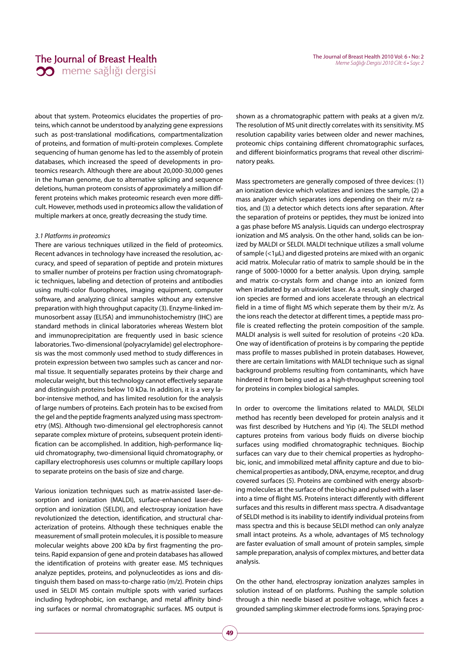about that system. Proteomics elucidates the properties of proteins, which cannot be understood by analyzing gene expressions such as post-translational modifications, compartmentalization of proteins, and formation of multi-protein complexes. Complete sequencing of human genome has led to the assembly of protein databases, which increased the speed of developments in proteomics research. Although there are about 20,000-30,000 genes in the human genome, due to alternative splicing and sequence deletions, human proteom consists of approximately a million different proteins which makes proteomic research even more difficult. However, methods used in proteomics allow the validation of multiple markers at once, greatly decreasing the study time.

### 3.1 Platforms in proteomics

There are various techniques utilized in the field of proteomics. Recent advances in technology have increased the resolution, accuracy, and speed of separation of peptide and protein mixtures to smaller number of proteins per fraction using chromatographic techniques, labeling and detection of proteins and antibodies using multi-color fluorophores, imaging equipment, computer software, and analyzing clinical samples without any extensive preparation with high throughput capacity (3). Enzyme-linked immunosorbent assay (ELISA) and immunohistochemistry (IHC) are standard methods in clinical laboratories whereas Western blot and immunoprecipitation are frequently used in basic science laboratories. Two-dimensional (polyacrylamide) gel electrophoresis was the most commonly used method to study differences in protein expression between two samples such as cancer and normal tissue. It sequentially separates proteins by their charge and molecular weight, but this technology cannot effectively separate and distinguish proteins below 10 kDa. In addition, it is a very labor-intensive method, and has limited resolution for the analysis of large numbers of proteins. Each protein has to be excised from the gel and the peptide fragments analyzed using mass spectrometry (MS). Although two-dimensional gel electrophoresis cannot separate complex mixture of proteins, subsequent protein identification can be accomplished. In addition, high-performance liquid chromatography, two-dimensional liquid chromatography, or capillary electrophoresis uses columns or multiple capillary loops to separate proteins on the basis of size and charge.

Various ionization techniques such as matrix-assisted laser-desorption and ionization (MALDI), surface-enhanced laser-desorption and ionization (SELDI), and electrospray ionization have revolutionized the detection, identification, and structural characterization of proteins. Although these techniques enable the measurement of small protein molecules, it is possible to measure molecular weights above 200 kDa by first fragmenting the proteins. Rapid expansion of gene and protein databases has allowed the identification of proteins with greater ease. MS techniques analyze peptides, proteins, and polynucleotides as ions and distinguish them based on mass-to-charge ratio (m/z). Protein chips used in SELDI MS contain multiple spots with varied surfaces including hydrophobic, ion exchange, and metal affinity binding surfaces or normal chromatographic surfaces. MS output is

shown as a chromatographic pattern with peaks at a given m/z. The resolution of MS unit directly correlates with its sensitivity. MS resolution capability varies between older and newer machines, proteomic chips containing different chromatographic surfaces, and different bioinformatics programs that reveal other discriminatory peaks.

Mass spectrometers are generally composed of three devices: (1) an ionization device which volatizes and ionizes the sample, (2) a mass analyzer which separates ions depending on their m/z ratios, and (3) a detector which detects ions after separation. After the separation of proteins or peptides, they must be ionized into a gas phase before MS analysis. Liquids can undergo electrospray ionization and MS analysis. On the other hand, solids can be ionized by MALDI or SELDI. MALDI technique utilizes a small volume of sample (<1μL) and digested proteins are mixed with an organic acid matrix. Molecular ratio of matrix to sample should be in the range of 5000-10000 for a better analysis. Upon drying, sample and matrix co-crystals form and change into an ionized form when irradiated by an ultraviolet laser. As a result, singly charged ion species are formed and ions accelerate through an electrical field in a time of flight MS which seperate them by their m/z. As the ions reach the detector at different times, a peptide mass profile is created reflecting the protein composition of the sample. MALDI analysis is well suited for resolution of proteins <20 kDa. One way of identification of proteins is by comparing the peptide mass profile to masses published in protein databases. However, there are certain limitations with MALDI technique such as signal background problems resulting from contaminants, which have hindered it from being used as a high-throughput screening tool for proteins in complex biological samples.

In order to overcome the limitations related to MALDI, SELDI method has recently been developed for protein analysis and it was first described by Hutchens and Yip (4). The SELDI method captures proteins from various body fluids on diverse biochip surfaces using modified chromatographic techniques. Biochip surfaces can vary due to their chemical properties as hydrophobic, ionic, and immobilized metal affinity capture and due to biochemical properties as antibody, DNA, enzyme, receptor, and drug covered surfaces (5). Proteins are combined with energy absorbing molecules at the surface of the biochip and pulsed with a laser into a time of flight MS. Proteins interact differently with different surfaces and this results in different mass spectra. A disadvantage of SELDI method is its inability to identify individual proteins from mass spectra and this is because SELDI method can only analyze small intact proteins. As a whole, advantages of MS technology are faster evaluation of small amount of protein samples, simple sample preparation, analysis of complex mixtures, and better data analysis.

On the other hand, electrospray ionization analyzes samples in solution instead of on platforms. Pushing the sample solution through a thin needle biased at positive voltage, which faces a grounded sampling skimmer electrode forms ions. Spraying proc-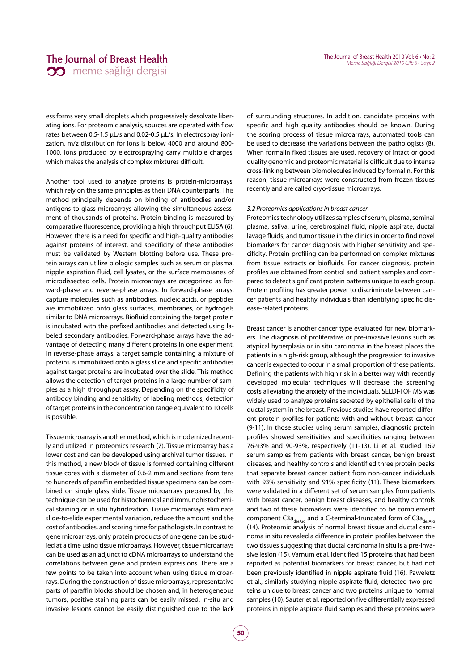ess forms very small droplets which progressively desolvate liberating ions. For proteomic analysis, sources are operated with flow rates between 0.5-1.5 μL/s and 0.02-0.5 μL/s. In electrospray ionization, m/z distribution for ions is below 4000 and around 800- 1000. Ions produced by electrospraying carry multiple charges, which makes the analysis of complex mixtures difficult.

Another tool used to analyze proteins is protein-microarrays, which rely on the same principles as their DNA counterparts. This method principally depends on binding of antibodies and/or antigens to glass microarrays allowing the simultaneous assessment of thousands of proteins. Protein binding is measured by comparative fluorescence, providing a high throughput ELISA (6). However, there is a need for specific and high-quality antibodies against proteins of interest, and specificity of these antibodies must be validated by Western blotting before use. These protein arrays can utilize biologic samples such as serum or plasma, nipple aspiration fluid, cell lysates, or the surface membranes of microdissected cells. Protein microarrays are categorized as forward-phase and reverse-phase arrays. In forward-phase arrays, capture molecules such as antibodies, nucleic acids, or peptides are immobilized onto glass surfaces, membranes, or hydrogels similar to DNA microarrays. Biofluid containing the target protein is incubated with the prefixed antibodies and detected using labeled secondary antibodies. Forward-phase arrays have the advantage of detecting many different proteins in one experiment. In reverse-phase arrays, a target sample containing a mixture of proteins is immobilized onto a glass slide and specific antibodies against target proteins are incubated over the slide. This method allows the detection of target proteins in a large number of samples as a high throughput assay. Depending on the specificity of antibody binding and sensitivity of labeling methods, detection of target proteins in the concentration range equivalent to 10 cells is possible.

Tissue microarray is another method, which is modernized recently and utilized in proteomics research (7). Tissue microarray has a lower cost and can be developed using archival tumor tissues. In this method, a new block of tissue is formed containing different tissue cores with a diameter of 0.6-2 mm and sections from tens to hundreds of paraffin embedded tissue specimens can be combined on single glass slide. Tissue microarrays prepared by this technique can be used for histochemical and immunohistochemical staining or in situ hybridization. Tissue microarrays eliminate slide-to-slide experimental variation, reduce the amount and the cost of antibodies, and scoring time for pathologists. In contrast to gene microarrays, only protein products of one gene can be studied at a time using tissue microarrays. However, tissue microarrays can be used as an adjunct to cDNA microarrays to understand the correlations between gene and protein expressions. There are a few points to be taken into account when using tissue microarrays. During the construction of tissue microarrays, representative parts of paraffin blocks should be chosen and, in heterogeneous tumors, positive staining parts can be easily missed. In-situ and invasive lesions cannot be easily distinguished due to the lack of surrounding structures. In addition, candidate proteins with specific and high quality antibodies should be known. During the scoring process of tissue microarrays, automated tools can be used to decrease the variations between the pathologists (8). When formalin fixed tissues are used, recovery of intact or good quality genomic and proteomic material is difficult due to intense cross-linking between biomolecules induced by formalin. For this reason, tissue microarrays were constructed from frozen tissues recently and are called cryo-tissue microarrays.

#### 3.2 Proteomics applications in breast cancer

Proteomics technology utilizes samples of serum, plasma, seminal plasma, saliva, urine, cerebrospinal fluid, nipple aspirate, ductal lavage fluids, and tumor tissue in the clinics in order to find novel biomarkers for cancer diagnosis with higher sensitivity and specificity. Protein profiling can be performed on complex mixtures from tissue extracts or biofluids. For cancer diagnosis, protein profiles are obtained from control and patient samples and compared to detect significant protein patterns unique to each group. Protein profiling has greater power to discriminate between cancer patients and healthy individuals than identifying specific disease-related proteins.

Breast cancer is another cancer type evaluated for new biomarkers. The diagnosis of proliferative or pre-invasive lesions such as atypical hyperplasia or in situ carcinoma in the breast places the patients in a high-risk group, although the progression to invasive cancer is expected to occur in a small proportion of these patients. Defining the patients with high risk in a better way with recently developed molecular techniques will decrease the screening costs alleviating the anxiety of the individuals. SELDI-TOF MS was widely used to analyze proteins secreted by epithelial cells of the ductal system in the breast. Previous studies have reported different protein profiles for patients with and without breast cancer (9-11). In those studies using serum samples, diagnostic protein profiles showed sensitivities and specificities ranging between 76-93% and 90-93%, respectively (11-13). Li et al. studied 169 serum samples from patients with breast cancer, benign breast diseases, and healthy controls and identified three protein peaks that separate breast cancer patient from non-cancer individuals with 93% sensitivity and 91% specificity (11). These biomarkers were validated in a different set of serum samples from patients with breast cancer, benign breast diseases, and healthy controls and two of these biomarkers were identified to be complement component C3a<sub>desArg</sub> and a C-terminal-truncated form of C3a<sub>desArg</sub> (14). Proteomic analysis of normal breast tissue and ductal carcinoma in situ revealed a difference in protein profiles between the two tissues suggesting that ductal carcinoma in situ is a pre-invasive lesion (15). Varnum et al. identified 15 proteins that had been reported as potential biomarkers for breast cancer, but had not been previously identified in nipple aspirate fluid (16). Paweletz et al., similarly studying nipple aspirate fluid, detected two proteins unique to breast cancer and two proteins unique to normal samples (10). Sauter et al. reported on five differentially expressed proteins in nipple aspirate fluid samples and these proteins were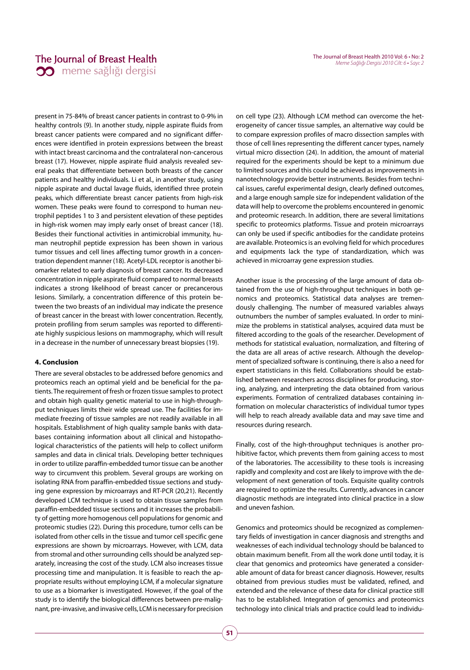present in 75-84% of breast cancer patients in contrast to 0-9% in healthy controls (9). In another study, nipple aspirate fluids from breast cancer patients were compared and no significant differences were identified in protein expressions between the breast with intact breast carcinoma and the contralateral non-cancerous breast (17). However, nipple aspirate fluid analysis revealed several peaks that differentiate between both breasts of the cancer patients and healthy individuals. Li et al., in another study, using nipple aspirate and ductal lavage fluids, identified three protein peaks, which differentiate breast cancer patients from high-risk women. These peaks were found to correspond to human neutrophil peptides 1 to 3 and persistent elevation of these peptides in high-risk women may imply early onset of breast cancer (18). Besides their functional activities in antimicrobial immunity, human neutrophil peptide expression has been shown in various tumor tissues and cell lines affecting tumor growth in a concentration dependent manner (18). Acetyl-LDL receptor is another biomarker related to early diagnosis of breast cancer. Its decreased concentration in nipple aspirate fluid compared to normal breasts indicates a strong likelihood of breast cancer or precancerous lesions. Similarly, a concentration difference of this protein between the two breasts of an individual may indicate the presence of breast cancer in the breast with lower concentration. Recently, protein profiling from serum samples was reported to differentiate highly suspicious lesions on mammography, which will result in a decrease in the number of unnecessary breast biopsies (19).

# **4. Conclusion**

There are several obstacles to be addressed before genomics and proteomics reach an optimal yield and be beneficial for the patients. The requirement of fresh or frozen tissue samples to protect and obtain high quality genetic material to use in high-throughput techniques limits their wide spread use. The facilities for immediate freezing of tissue samples are not readily available in all hospitals. Establishment of high quality sample banks with databases containing information about all clinical and histopathological characteristics of the patients will help to collect uniform samples and data in clinical trials. Developing better techniques in order to utilize paraffin-embedded tumor tissue can be another way to circumvent this problem. Several groups are working on isolating RNA from paraffin-embedded tissue sections and studying gene expression by microarrays and RT-PCR (20,21). Recently developed LCM technique is used to obtain tissue samples from paraffin-embedded tissue sections and it increases the probability of getting more homogenous cell populations for genomic and proteomic studies (22). During this procedure, tumor cells can be isolated from other cells in the tissue and tumor cell specific gene expressions are shown by microarrays. However, with LCM, data from stromal and other surrounding cells should be analyzed separately, increasing the cost of the study. LCM also increases tissue processing time and manipulation. It is feasible to reach the appropriate results without employing LCM, if a molecular signature to use as a biomarker is investigated. However, if the goal of the study is to identify the biological differences between pre-malignant, pre-invasive, and invasive cells, LCM is necessary for precision on cell type (23). Although LCM method can overcome the heterogeneity of cancer tissue samples, an alternative way could be to compare expression profiles of macro dissection samples with those of cell lines representing the different cancer types, namely virtual micro dissection (24). In addition, the amount of material required for the experiments should be kept to a minimum due to limited sources and this could be achieved as improvements in nanotechnology provide better instruments. Besides from technical issues, careful experimental design, clearly defined outcomes, and a large enough sample size for independent validation of the data will help to overcome the problems encountered in genomic and proteomic research. In addition, there are several limitations specific to proteomics platforms. Tissue and protein microarrays can only be used if specific antibodies for the candidate proteins are available. Proteomics is an evolving field for which procedures and equipments lack the type of standardization, which was achieved in microarray gene expression studies.

Another issue is the processing of the large amount of data obtained from the use of high-throughput techniques in both genomics and proteomics. Statistical data analyses are tremendously challenging. The number of measured variables always outnumbers the number of samples evaluated. In order to minimize the problems in statistical analyses, acquired data must be filtered according to the goals of the researcher. Development of methods for statistical evaluation, normalization, and filtering of the data are all areas of active research. Although the development of specialized software is continuing, there is also a need for expert statisticians in this field. Collaborations should be established between researchers across disciplines for producing, storing, analyzing, and interpreting the data obtained from various experiments. Formation of centralized databases containing information on molecular characteristics of individual tumor types will help to reach already available data and may save time and resources during research.

Finally, cost of the high-throughput techniques is another prohibitive factor, which prevents them from gaining access to most of the laboratories. The accessibility to these tools is increasing rapidly and complexity and cost are likely to improve with the development of next generation of tools. Exquisite quality controls are required to optimize the results. Currently, advances in cancer diagnostic methods are integrated into clinical practice in a slow and uneven fashion.

Genomics and proteomics should be recognized as complementary fields of investigation in cancer diagnosis and strengths and weaknesses of each individual technology should be balanced to obtain maximum benefit. From all the work done until today, it is clear that genomics and proteomics have generated a considerable amount of data for breast cancer diagnosis. However, results obtained from previous studies must be validated, refined, and extended and the relevance of these data for clinical practice still has to be established. Integration of genomics and proteomics technology into clinical trials and practice could lead to individu-